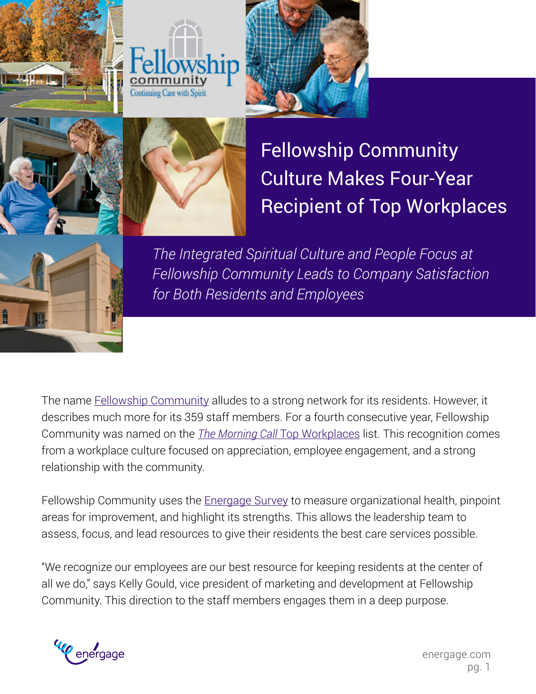







Fellowship Community Culture Makes Four-Year Recipient of Top Workplaces



*The Integrated Spiritual Culture and People Focus at Fellowship Community Leads to Company Satisfaction for Both Residents and Employees*

The name **[Fellowship Community](http://www.fellowshipcommunity.com) alludes to a strong network for its residents**. However, it describes much more for its 359 staff members. For a fourth consecutive year, Fellowship Community was named on the *[The Morning Call](http://www.topworkplaces.com/frontend.php/regional-list/map/mcall)* Top Workplaces list. This recognition comes from a workplace culture focused on appreciation, employee engagement, and a strong relationship with the community.

Fellowship Community uses the [Energage Survey](https://www.energage.com/survey/) to measure organizational health, pinpoint areas for improvement, and highlight its strengths. This allows the leadership team to assess, focus, and lead resources to give their residents the best care services possible.

"We recognize our employees are our best resource for keeping residents at the center of all we do," says Kelly Gould, vice president of marketing and development at Fellowship Community. This direction to the staff members engages them in a deep purpose.

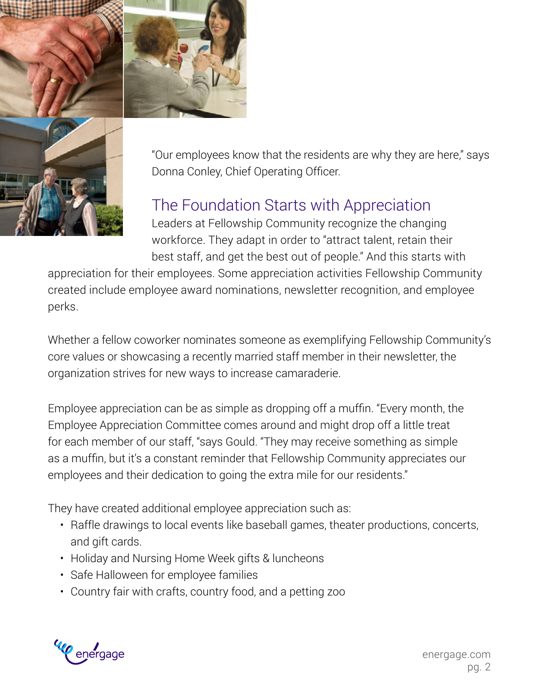



"Our employees know that the residents are why they are here," says Donna Conley, Chief Operating Officer.

## The Foundation Starts with Appreciation

Leaders at Fellowship Community recognize the changing workforce. They adapt in order to "attract talent, retain their best staff, and get the best out of people." And this starts with

appreciation for their employees. Some appreciation activities Fellowship Community created include employee award nominations, newsletter recognition, and employee perks.

Whether a fellow coworker nominates someone as exemplifying Fellowship Community's core values or showcasing a recently married staff member in their newsletter, the organization strives for new ways to increase camaraderie.

Employee appreciation can be as simple as dropping off a muffin. "Every month, the Employee Appreciation Committee comes around and might drop off a little treat for each member of our staff, "says Gould. "They may receive something as simple as a muffin, but it's a constant reminder that Fellowship Community appreciates our employees and their dedication to going the extra mile for our residents."

They have created additional employee appreciation such as:

- Raffle drawings to local events like baseball games, theater productions, concerts, and gift cards.
- Holiday and Nursing Home Week gifts & luncheons
- Safe Halloween for employee families
- Country fair with crafts, country food, and a petting zoo

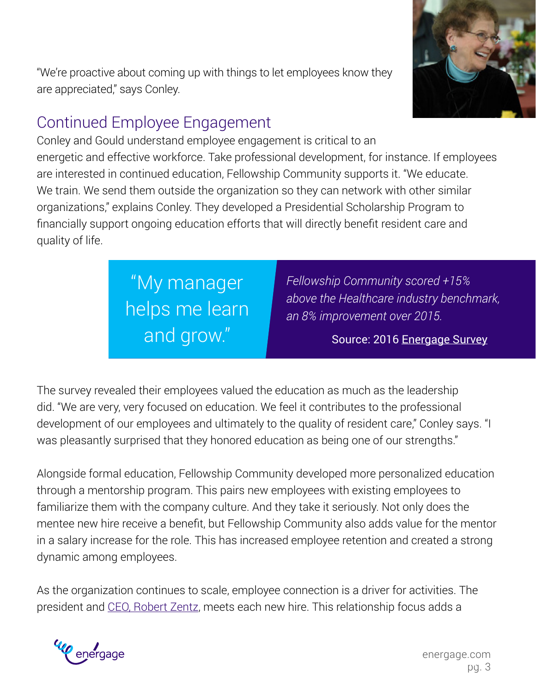"We're proactive about coming up with things to let employees know they are appreciated," says Conley.

## Continued Employee Engagement

Conley and Gould understand employee engagement is critical to an energetic and effective workforce. Take professional development, for instance. If employees are interested in continued education, Fellowship Community supports it. "We educate. We train. We send them outside the organization so they can network with other similar organizations," explains Conley. They developed a Presidential Scholarship Program to financially support ongoing education efforts that will directly benefit resident care and quality of life.

> "My manager helps me learn and grow." **The Course** Source: 2016 [Energage Survey](https://www.energage.com/survey/)

*Fellowship Community scored +15% above the Healthcare industry benchmark, an 8% improvement over 2015.*

The survey revealed their employees valued the education as much as the leadership did. "We are very, very focused on education. We feel it contributes to the professional development of our employees and ultimately to the quality of resident care," Conley says. "I was pleasantly surprised that they honored education as being one of our strengths."

Alongside formal education, Fellowship Community developed more personalized education through a mentorship program. This pairs new employees with existing employees to familiarize them with the company culture. And they take it seriously. Not only does the mentee new hire receive a benefit, but Fellowship Community also adds value for the mentor in a salary increase for the role. This has increased employee retention and created a strong dynamic among employees.

As the organization continues to scale, employee connection is a driver for activities. The president and [CEO, Robert Zentz,](http://www.lvb.com/article/20160530/LVB01/305269986/behind-the-list-with-robert-zentz-of-fellowship-community) meets each new hire. This relationship focus adds a